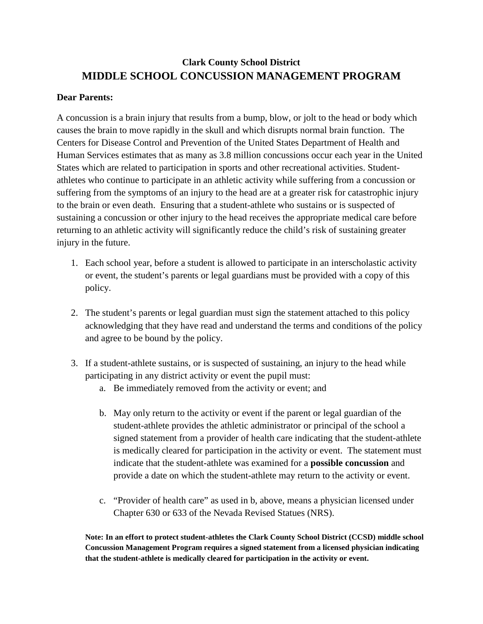# **Clark County School District MIDDLE SCHOOL CONCUSSION MANAGEMENT PROGRAM**

## **Dear Parents:**

A concussion is a brain injury that results from a bump, blow, or jolt to the head or body which causes the brain to move rapidly in the skull and which disrupts normal brain function. The Centers for Disease Control and Prevention of the United States Department of Health and Human Services estimates that as many as 3.8 million concussions occur each year in the United States which are related to participation in sports and other recreational activities. Studentathletes who continue to participate in an athletic activity while suffering from a concussion or suffering from the symptoms of an injury to the head are at a greater risk for catastrophic injury to the brain or even death. Ensuring that a student-athlete who sustains or is suspected of sustaining a concussion or other injury to the head receives the appropriate medical care before returning to an athletic activity will significantly reduce the child's risk of sustaining greater injury in the future.

- 1. Each school year, before a student is allowed to participate in an interscholastic activity or event, the student's parents or legal guardians must be provided with a copy of this policy.
- 2. The student's parents or legal guardian must sign the statement attached to this policy acknowledging that they have read and understand the terms and conditions of the policy and agree to be bound by the policy.
- 3. If a student-athlete sustains, or is suspected of sustaining, an injury to the head while participating in any district activity or event the pupil must:
	- a. Be immediately removed from the activity or event; and
	- b. May only return to the activity or event if the parent or legal guardian of the student-athlete provides the athletic administrator or principal of the school a signed statement from a provider of health care indicating that the student-athlete is medically cleared for participation in the activity or event. The statement must indicate that the student-athlete was examined for a **possible concussion** and provide a date on which the student-athlete may return to the activity or event.
	- c. "Provider of health care" as used in b, above, means a physician licensed under Chapter 630 or 633 of the Nevada Revised Statues (NRS).

**Note: In an effort to protect student-athletes the Clark County School District (CCSD) middle school Concussion Management Program requires a signed statement from a licensed physician indicating that the student-athlete is medically cleared for participation in the activity or event.**